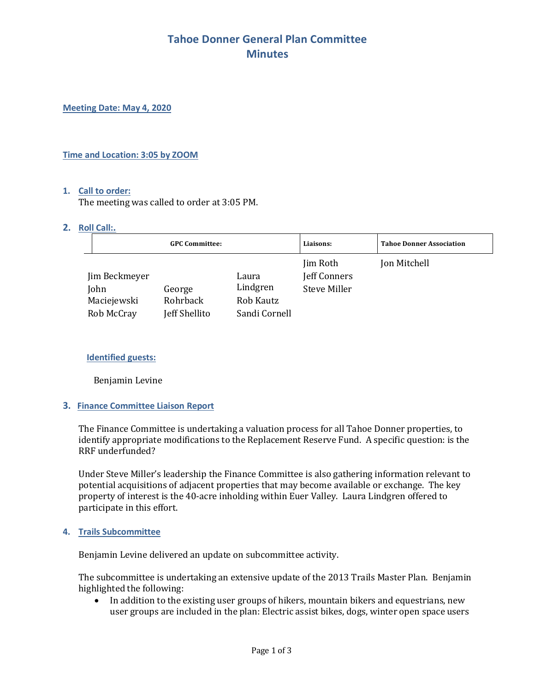## **Tahoe Donner General Plan Committee Minutes**

**Meeting Date: May 4, 2020**

#### **Time and Location: 3:05 by ZOOM**

#### **1. Call to order:**

The meeting was called to order at 3:05 PM.

#### **2. Roll Call:.**

|                                                    | <b>GPC Committee:</b>               |                                                 | Liaisons:                                | <b>Tahoe Donner Association</b> |
|----------------------------------------------------|-------------------------------------|-------------------------------------------------|------------------------------------------|---------------------------------|
| Jim Beckmeyer<br>John<br>Maciejewski<br>Rob McCray | George<br>Rohrback<br>Jeff Shellito | Laura<br>Lindgren<br>Rob Kautz<br>Sandi Cornell | Jim Roth<br>Jeff Conners<br>Steve Miller | Jon Mitchell                    |

#### **Identified guests:**

Benjamin Levine

### **3. Finance Committee Liaison Report**

The Finance Committee is undertaking a valuation process for all Tahoe Donner properties, to identify appropriate modifications to the Replacement Reserve Fund. A specific question: is the RRF underfunded?

Under Steve Miller's leadership the Finance Committee is also gathering information relevant to potential acquisitions of adjacent properties that may become available or exchange. The key property of interest is the 40-acre inholding within Euer Valley. Laura Lindgren offered to participate in this effort.

#### **4. Trails Subcommittee**

Benjamin Levine delivered an update on subcommittee activity. 

The subcommittee is undertaking an extensive update of the 2013 Trails Master Plan. Benjamin highlighted the following:

• In addition to the existing user groups of hikers, mountain bikers and equestrians, new user groups are included in the plan: Electric assist bikes, dogs, winter open space users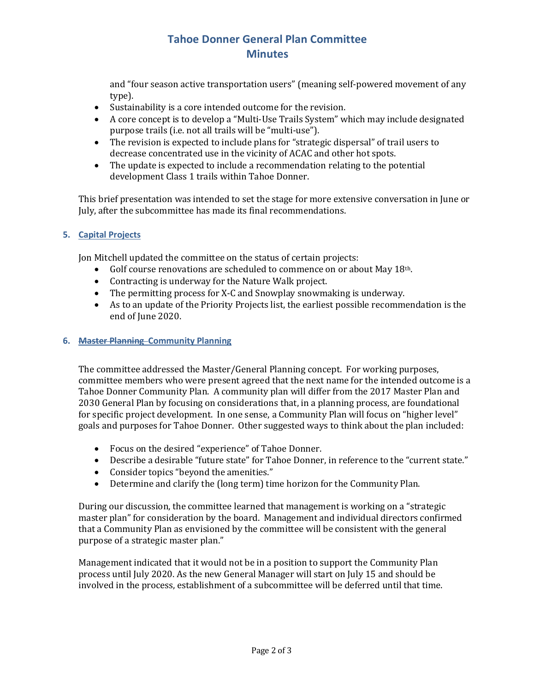# **Tahoe Donner General Plan Committee Minutes**

and "four season active transportation users" (meaning self-powered movement of any type).

- Sustainability is a core intended outcome for the revision.
- A core concept is to develop a "Multi-Use Trails System" which may include designated purpose trails (i.e. not all trails will be "multi-use").
- The revision is expected to include plans for "strategic dispersal" of trail users to decrease concentrated use in the vicinity of ACAC and other hot spots.
- The update is expected to include a recommendation relating to the potential development Class 1 trails within Tahoe Donner.

This brief presentation was intended to set the stage for more extensive conversation in June or July, after the subcommittee has made its final recommendations.

### **5. Capital Projects**

Jon Mitchell updated the committee on the status of certain projects:

- Golf course renovations are scheduled to commence on or about May 18th.
- Contracting is underway for the Nature Walk project.
- The permitting process for X-C and Snowplay snowmaking is underway.
- As to an update of the Priority Projects list, the earliest possible recommendation is the end of June 2020.

### **6. Master Planning Community Planning**

The committee addressed the Master/General Planning concept. For working purposes, committee members who were present agreed that the next name for the intended outcome is a Tahoe Donner Community Plan. A community plan will differ from the 2017 Master Plan and 2030 General Plan by focusing on considerations that, in a planning process, are foundational for specific project development. In one sense, a Community Plan will focus on "higher level" goals and purposes for Tahoe Donner. Other suggested ways to think about the plan included:

- Focus on the desired "experience" of Tahoe Donner.
- Describe a desirable "future state" for Tahoe Donner, in reference to the "current state."
- Consider topics "beyond the amenities."
- Determine and clarify the (long term) time horizon for the Community Plan.

During our discussion, the committee learned that management is working on a "strategic master plan" for consideration by the board. Management and individual directors confirmed that a Community Plan as envisioned by the committee will be consistent with the general purpose of a strategic master plan."

Management indicated that it would not be in a position to support the Community Plan process until July 2020. As the new General Manager will start on July 15 and should be involved in the process, establishment of a subcommittee will be deferred until that time.